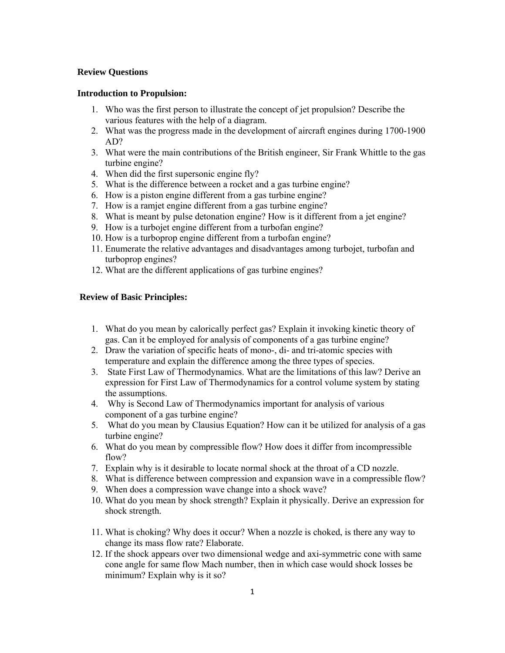# **Review Questions**

### **Introduction to Propulsion:**

- 1. Who was the first person to illustrate the concept of jet propulsion? Describe the various features with the help of a diagram.
- 2. What was the progress made in the development of aircraft engines during 1700-1900 AD?
- 3. What were the main contributions of the British engineer, Sir Frank Whittle to the gas turbine engine?
- 4. When did the first supersonic engine fly?
- 5. What is the difference between a rocket and a gas turbine engine?
- 6. How is a piston engine different from a gas turbine engine?
- 7. How is a ramjet engine different from a gas turbine engine?
- 8. What is meant by pulse detonation engine? How is it different from a jet engine?
- 9. How is a turbojet engine different from a turbofan engine?
- 10. How is a turboprop engine different from a turbofan engine?
- 11. Enumerate the relative advantages and disadvantages among turbojet, turbofan and turboprop engines?
- 12. What are the different applications of gas turbine engines?

### **Review of Basic Principles:**

- 1. What do you mean by calorically perfect gas? Explain it invoking kinetic theory of gas. Can it be employed for analysis of components of a gas turbine engine?
- 2. Draw the variation of specific heats of mono-, di- and tri-atomic species with temperature and explain the difference among the three types of species.
- 3. State First Law of Thermodynamics. What are the limitations of this law? Derive an expression for First Law of Thermodynamics for a control volume system by stating the assumptions.
- 4. Why is Second Law of Thermodynamics important for analysis of various component of a gas turbine engine?
- 5. What do you mean by Clausius Equation? How can it be utilized for analysis of a gas turbine engine?
- 6. What do you mean by compressible flow? How does it differ from incompressible flow?
- 7. Explain why is it desirable to locate normal shock at the throat of a CD nozzle.
- 8. What is difference between compression and expansion wave in a compressible flow?
- 9. When does a compression wave change into a shock wave?
- 10. What do you mean by shock strength? Explain it physically. Derive an expression for shock strength.
- 11. What is choking? Why does it occur? When a nozzle is choked, is there any way to change its mass flow rate? Elaborate.
- 12. If the shock appears over two dimensional wedge and axi-symmetric cone with same cone angle for same flow Mach number, then in which case would shock losses be minimum? Explain why is it so?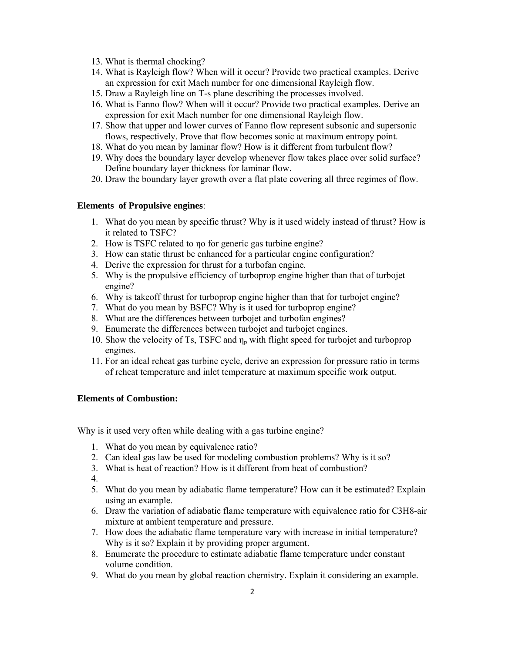- 13. What is thermal chocking?
- 14. What is Rayleigh flow? When will it occur? Provide two practical examples. Derive an expression for exit Mach number for one dimensional Rayleigh flow.
- 15. Draw a Rayleigh line on T-s plane describing the processes involved.
- 16. What is Fanno flow? When will it occur? Provide two practical examples. Derive an expression for exit Mach number for one dimensional Rayleigh flow.
- 17. Show that upper and lower curves of Fanno flow represent subsonic and supersonic flows, respectively. Prove that flow becomes sonic at maximum entropy point.
- 18. What do you mean by laminar flow? How is it different from turbulent flow?
- 19. Why does the boundary layer develop whenever flow takes place over solid surface? Define boundary layer thickness for laminar flow.
- 20. Draw the boundary layer growth over a flat plate covering all three regimes of flow.

### **Elements of Propulsive engines**:

- 1. What do you mean by specific thrust? Why is it used widely instead of thrust? How is it related to TSFC?
- 2. How is TSFC related to ηo for generic gas turbine engine?
- 3. How can static thrust be enhanced for a particular engine configuration?
- 4. Derive the expression for thrust for a turbofan engine.
- 5. Why is the propulsive efficiency of turboprop engine higher than that of turbojet engine?
- 6. Why is takeoff thrust for turboprop engine higher than that for turbojet engine?
- 7. What do you mean by BSFC? Why is it used for turboprop engine?
- 8. What are the differences between turbojet and turbofan engines?
- 9. Enumerate the differences between turbojet and turbojet engines.
- 10. Show the velocity of Ts, TSFC and  $\eta_p$  with flight speed for turbojet and turboprop engines.
- 11. For an ideal reheat gas turbine cycle, derive an expression for pressure ratio in terms of reheat temperature and inlet temperature at maximum specific work output.

## **Elements of Combustion:**

Why is it used very often while dealing with a gas turbine engine?

- 1. What do you mean by equivalence ratio?
- 2. Can ideal gas law be used for modeling combustion problems? Why is it so?
- 3. What is heat of reaction? How is it different from heat of combustion?
- 4.
- 5. What do you mean by adiabatic flame temperature? How can it be estimated? Explain using an example.
- 6. Draw the variation of adiabatic flame temperature with equivalence ratio for C3H8-air mixture at ambient temperature and pressure.
- 7. How does the adiabatic flame temperature vary with increase in initial temperature? Why is it so? Explain it by providing proper argument.
- 8. Enumerate the procedure to estimate adiabatic flame temperature under constant volume condition.
- 9. What do you mean by global reaction chemistry. Explain it considering an example.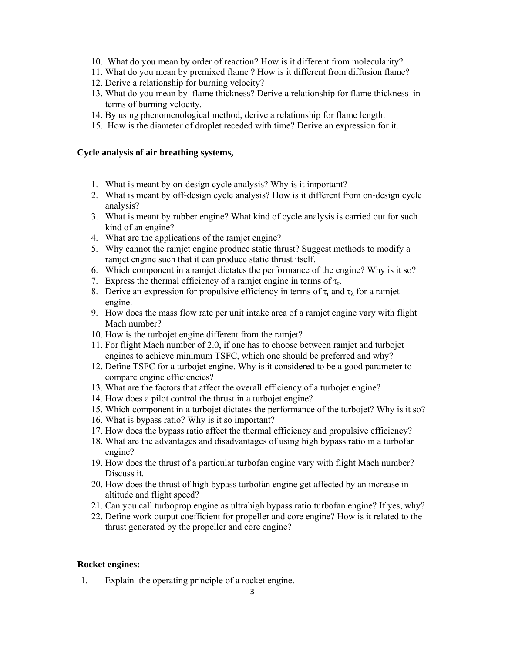- 10. What do you mean by order of reaction? How is it different from molecularity?
- 11. What do you mean by premixed flame ? How is it different from diffusion flame?
- 12. Derive a relationship for burning velocity?
- 13. What do you mean by flame thickness? Derive a relationship for flame thickness in terms of burning velocity.
- 14. By using phenomenological method, derive a relationship for flame length.
- 15. How is the diameter of droplet receded with time? Derive an expression for it.

# **Cycle analysis of air breathing systems,**

- 1. What is meant by on-design cycle analysis? Why is it important?
- 2. What is meant by off-design cycle analysis? How is it different from on-design cycle analysis?
- 3. What is meant by rubber engine? What kind of cycle analysis is carried out for such kind of an engine?
- 4. What are the applications of the ramjet engine?
- 5. Why cannot the ramjet engine produce static thrust? Suggest methods to modify a ramjet engine such that it can produce static thrust itself.
- 6. Which component in a ramjet dictates the performance of the engine? Why is it so?
- 7. Express the thermal efficiency of a ramjet engine in terms of  $\tau_r$ .
- 8. Derive an expression for propulsive efficiency in terms of  $\tau_r$  and  $\tau_\lambda$  for a ramjet engine.
- 9. How does the mass flow rate per unit intake area of a ramjet engine vary with flight Mach number?
- 10. How is the turbojet engine different from the ramjet?
- 11. For flight Mach number of 2.0, if one has to choose between ramjet and turbojet engines to achieve minimum TSFC, which one should be preferred and why?
- 12. Define TSFC for a turbojet engine. Why is it considered to be a good parameter to compare engine efficiencies?
- 13. What are the factors that affect the overall efficiency of a turbojet engine?
- 14. How does a pilot control the thrust in a turbojet engine?
- 15. Which component in a turbojet dictates the performance of the turbojet? Why is it so?
- 16. What is bypass ratio? Why is it so important?
- 17. How does the bypass ratio affect the thermal efficiency and propulsive efficiency?
- 18. What are the advantages and disadvantages of using high bypass ratio in a turbofan engine?
- 19. How does the thrust of a particular turbofan engine vary with flight Mach number? Discuss it.
- 20. How does the thrust of high bypass turbofan engine get affected by an increase in altitude and flight speed?
- 21. Can you call turboprop engine as ultrahigh bypass ratio turbofan engine? If yes, why?
- 22. Define work output coefficient for propeller and core engine? How is it related to the thrust generated by the propeller and core engine?

# **Rocket engines:**

1. Explain the operating principle of a rocket engine.